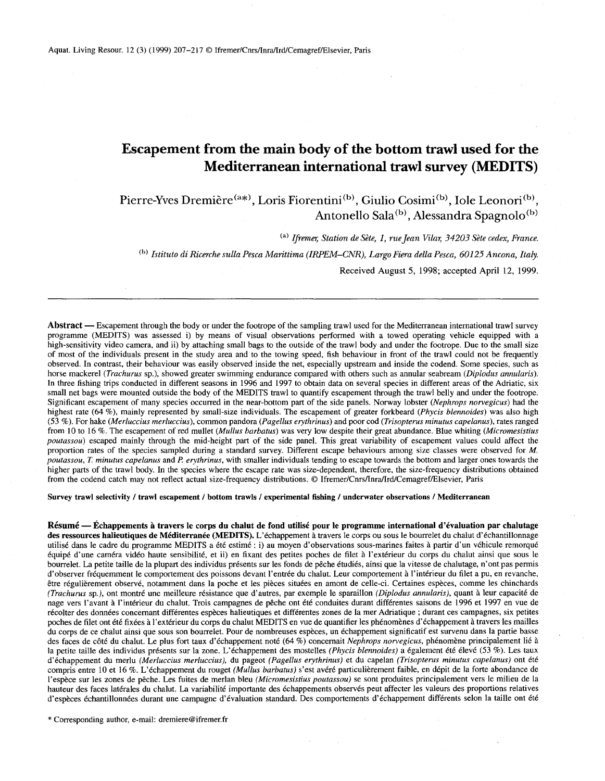# **Escapement from the main body of the bottom trawl used for the Mediterranean international trawl survey (MEDITS)**

Pierre-Yves Dremière<sup>(a\*)</sup>, Loris Fiorentini<sup>(b)</sup>, Giulio Cosimi<sup>(b)</sup>, Iole Leonori<sup>(b)</sup>, Antonello Sala<sup>(b)</sup>, Alessandra Spagnolo<sup>(b)</sup>

(a) *Ifremer; Station de Sète,* 1, *rue jean Vilar, 34203 Sète cedex, France.* 

(h) *Istituto di Ricerche sulla Pesca Marittima (IRPEM-CNR), Largo Fiera della Pesca, 60125 Ancona, Italy.* 

Received August 5, 1998; accepted April 12, 1999.

Abstract — Escapement through the body or under the footrope of the sampling trawl used for the Mediterranean international trawl survey programme (MEDITS) was assessed i) by means of visual observations performed with a towed operating vehicle equipped with a high-sensitivity video camera, and ii) by attaching small bags to the outside of the trawl body and under the footrope. Due to the small size of most of the individuals present in the study area and to the towing speed, fish behaviour in front of the trawl could not be frequently observed. In contrast, their behaviour was easily observed inside the net, especially upstream and inside the codend. Sorne species, such as horse mackerel *(Trachurus* sp.), showed greater swimming endurance compared with others such as annular seabream *(Diplodus annularis).*  In three fishing trips conducted in different seasons in 1996 and 1997 to obtain data on several species in different areas of the Adriatic, six small net bags were mounted outside the body of the MEDITS trawl to quantify escapement through the trawl belly and under the footrope. Significant escapement of many species occurred in the near-bottom part of the side panels. Norway lobster *(Nephrops norvegicus)* had the highest rate (64 %), mainly represented by small-size individuals. The escapement of greater forkbeard *(Phycis blennoides)* was also high (53 %). For hake *(Merluccius merluccius),* common pandora *(Pagellus erythrinus)* and poor cod *(Trisopterus minutus capelanus),* rates ranged from 10 to 16 %. The escapement of red mullet *(Mullus barbatus)* was very low despite their great abundance. Blue whiting *(Micromesistius poutassou*) escaped mainly through the mid-height part of the side panel. This great variability of escapement values could affect the proportion rates of the species sampled during a standard survey. Different escape behaviours among size classes were observed for M. *poutassou, T. minutus capelanus* and P. erythrinus, with smaller individuals tending to escape towards the bottom and larger ones towards the higher parts of the trawl body. In the species where the escape rate was size-dependent, therefore, the size-frequency distributions obtained from the codend catch may not reflect actual size-frequency distributions. © Ifremer/Cnrs/Inra/Ird/Cemagref/Elsevier, Paris

Survey trawl selectivity / trawl escapement / bottom trawls / experimental fishing / underwater observations / Mediterranean

Résumé - Échappements à travers le corps **du** chalut de fond utilisé pour le programme international d'évaluation par chalutage des ressources halieutiques de Méditerranée (MEDITS). L'échappement à travers le corps ou sous le bourrelet du chalut d'échantillonnage utilisé dans le cadre du programme MEDITS a été estimé: i) au moyen d'observations sous-marines faites à partir d'un véhicule remorqué équipé d'une caméra vidéo haute sensibilité, et ii) en fixant des petites poches de filet à l'extérieur du corps du chalut ainsi que sous le bourrelet. La petite taille de la plupart des individus présents sur les fonds de pêche étudiés, ainsi que la vitesse de chalutage, n'ont pas permis d'observer fréquemment le comportement des poissons devant l'entrée du chalut. Leur comportement à l'intérieur du filet a pu, en revanche, être régulièrement observé, notamment dans la poche et les pièces situées en amont de celle-ci. Certaines espèces, comme les chinchards *(Trachurus* sp.), ont montré une meilleure résistance que d'autres, par exemple le sparaillon *(Diplodus annularis),* quant à leur capacité de nage vers l'avant à l'intérieur du chalut. Trois campagnes de pêche ont été conduites durant différentes saisons de 1996 et 1997 en vue de récolter des données concernant différentes espèces halieutiques et différentes zones de la mer Adriatique; durant ces campagnes, six petites poches de filet ont été fixées à l'extérieur du corps du chalut MEDITS en vue de quantifier les phénomènes d'échappement à travers les mailles du corps de ce chalut ainsi que sous son bourrelet. Pour de nombreuses espèces, un échappement significatif est survenu dans la partie basse des faces de côté du chalut. Le plus fort taux d'échappement noté (64 %) concernait *Nephrops norvegicus,* phénomène principalement lié à la petite taille des individus présents sur la zone. L'échappement des mostelles *(Phycis blennoides)* a également été élevé (53 %). Les taux d'échappement du merlu *(Merluccius merluccius),* du pageot *(Pagellus erythrinus)* et du capelan *(Trisopterus minutus capelan us)* ont été compris entre 10 et 16 %. L'échappement du rouget *(Mullus barbatus)* s'est avéré particulièrement faible, en dépit de la forte abondance de l'espèce sur les zones de pêche. Les fuites de merlan bleu *(Micromesistius poutassou)* se sont produites principalement vers le milieu de la hauteur des faces latérales du chalut. La variabilité importante des échappements observés peut affecter les valeurs des proportions relatives d'espèces échantillonnées durant une campagne d'évaluation standard. Des comportements d'échappement différents selon la taille ont été

\* Corresponding author, e-mail: dremiere@ifremer.fr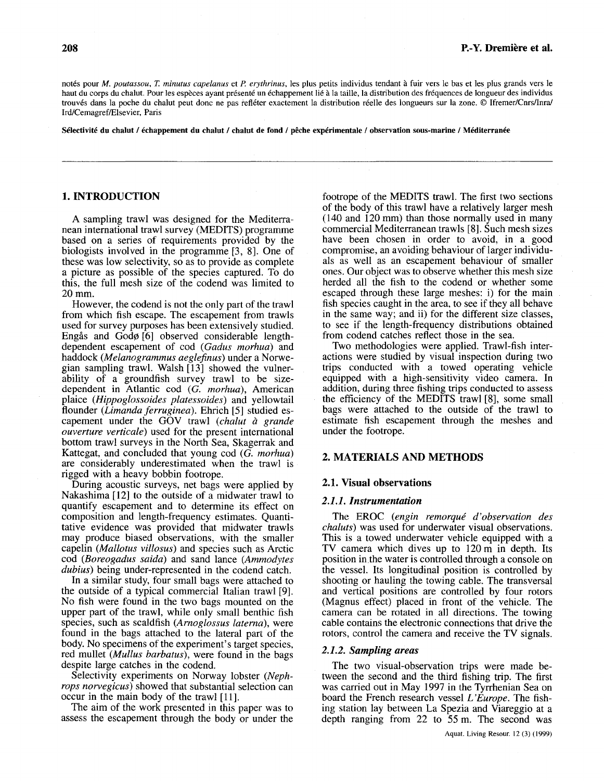notés pour *M. poutassou,* T. *minutus cape/anus* et P. *erythrinus,* les plus petits individus tendant à fuir vers le bas et les plus grands vers le haut du corps du chalut. Pour les espèces ayant présenté un échappement lié à la taille, la distribution des fréquences de longueur des individus trouvés dans la poche du chalut peut donc ne pas refléter exactement la distribution réelle des longueurs sur la zone. © Ifremer/CnrslInra! Ird/Cemagref/Elsevier, Paris

Sélectivité du chalut / échappement du chalut / chalut de fond / pêche expérimentale / observation sous-marine / Méditerranée

# 1. INTRODUCTION

A sampling trawl was designed for the Mediterranean international trawl survey (MEDITS) programme based on a series of requirements provided by the biologists involved in the programme [3, 8]. One of these was low selectivity, so as to provide as complete a picture as possible of the species captured. To do this, the full mesh size of the codend was limited to 20 mm.

However, the codend is not the only part of the trawl from which fish escape. The escapement from trawls used for survey purposes has been extensively studied. Engås and Godø<sup>[6]</sup> observed considerable lengthdependent escapement of cod *(Gadus morhua)* and haddock *(Melanogrammus aeglefinus)* under a Norwegian sampling trawl. Walsh [13] showed the vulnerability of a groundfish survey trawl to be sizedependent in Atlantic cod *(G. morhua),* American plaice *(Hippoglossoides platessoides)* and yellowtail flounder *(Limanda ferruginea).* Ehrich [5] studied escapement under the GOV trawl *(chalut* à *grande ouverture verticale)* used for the present international bottom trawl surveys in the North Sea, Skagerrak and Kattegat, and concluded that young cod *(G. morhua)*  are considerably underestimated when the trawl is rigged with a heavy bobbin footrope.

During acoustic surveys, net bags were applied by Nakashima [12] to the outside of a midwater trawl to quantify escapement and to determine its effect on composition and length-frequency estimates. Quantitative evidence was provided that midwater trawls may produce biased observations, with the smaller capelin *(Mallotus villosus)* and species such as Arctic cod *(Boreogadus saida)* and sand lance *(Ammodytes dubius)* being under-represented in the codend catch.

In a similar study, four small bags were attached to the outside of a typical commercial Italian trawl [9]. No fish were found in the two bags mounted on the upper part of the trawl, while only small benthic fish species, such as scaldfish *(Arnoglossus laterna),* were found in the bags attached to the lateral part of the body. No specimens of the experiment's target species, red mullet *(Mullus barbatus),* were found in the bags despite large catches in the codend.

Selectivity experiments on Norway lobster *(Nephrops norvegicus)* showed that substantial selection can occur in the main body of the trawl [11].

The aim of the work presented in this paper was to assess the escapement through the body or under the footrope of the MEDITS trawl. The first two sections of the body of this trawl have a relatively larger mesh (140 and 120 mm) than those normally used in many commercial Mediterranean trawls [8]. Such mesh sizes have been chosen in order to avoid, in a good compromise, an avoiding behaviour of larger individuals as well as an escapement behaviour of smaller ones. Our object was to observe whether this mesh size herded all the fish to the codend or whether sorne escaped through these large meshes: i) for the main fish species caught in the area, to see if they all behave in the same way; and ii) for the different size classes, to see if the length-frequency distributions obtained from codend catches reftect those in the sea.

Two methodologies were applied. Trawl-fish interactions were studied by visual inspection during two trips conducted with a towed operating vehicle equipped with a high-sensitivity video camera. In addition, during three fishing trips conducted to assess the efficiency of the MEDITS trawl [8], sorne small bags were attached to the outside of the trawl to estimate fish escapement through the meshes and under the footrope.

# 2. MATERIALS AND METHODS

# 2.1. Visual observations

# *2.1.1. Instrumentation*

The EROC *(engin remorqué d'observation des chaluts)* was used for underwater visual observations. This is a towed underwater vehicle equipped with a TV camera which dives up to 120 m in depth. Its position in.the water is controlled through a console on the vessel. Its longitudinal position is controlled by shooting or hauling the towing cable. The transversal and vertical positions are controlled by four rotors (Magnus effect) placed in front of the vehicle. The camera can be rotated in all directions. The towing cable contains the electronic connections that drive the rotors, control the camera and receive the TV signals.

#### *2.1.2. Sampling areas*

The two visual-observation trips were made between the second and the third fishing trip. The first was carried out in May 1997 in the Tyrrhenian Sea on board the French research vessel *L'Europe.* The fishing station lay between La Spezia and Viareggio at a depth ranging from 22 to 55 m. The second was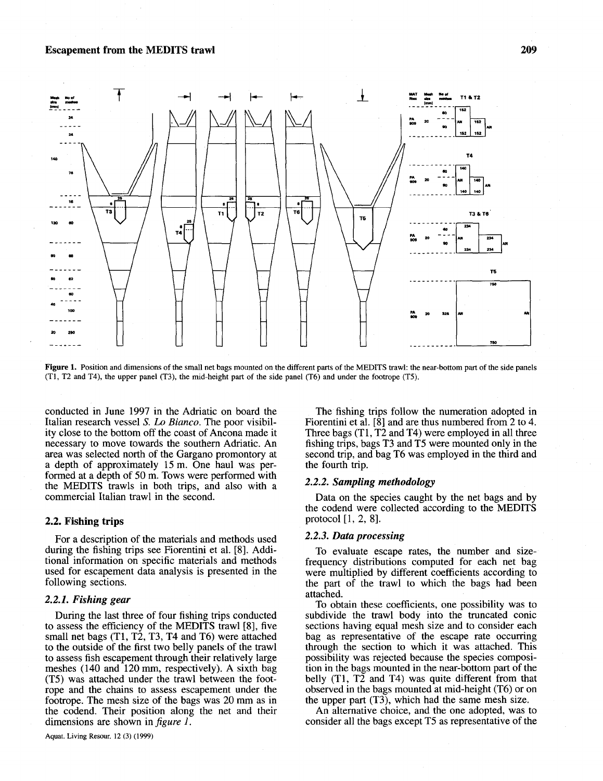### Escapement from the MEDITS trawl



Figure 1. Position and dimensions of the small net bags mounted on the different parts of the MEDITS trawl: the near-bottom part of the side panels (Tl, T2 and T4), the upper panel (T3), the mid-height part of the side panel (T6) and under the footrope (T5).

conducted in June 1997 in the Adriatic on board the Italian research vessel S. *Lo Bianco.* The poor visibility close to the bottom off the coast of Ancona made it necessary to move towards the southern Adriatic. An area was selected north of the Gargano promontory at a depth of approximately 15 m. One haul was perforrned at a depth of 50 m. Tows were perforrned with the MEDITS trawls in both trips, and also with a commercial Italian trawl in the second.

### 2.2. Fishing trips

For a description of the materials and methods used during the fishing trips see Fiorentini et al. [8]. Additional information on specific materials and methods used for escapement data analysis is presented in the following sections.

# *2.2.1. Fishing gear*

During the last three of four fishing trips conducted to assess the efficiency of the MEDITS trawl [8], five small net bags (T1, T2, T3, T4 and T6) were attached to the outside of the first two belly panels of the trawl to assess fish escapement through their relatively large meshes (140 and 120 mm, respectively). A sixth bag (T5) was attached under the trawl between the footrope and the chains to assess escapement under the footrope. The mesh size of the bags was 20 mm as in the codend. Their position along the net and their dimensions are shown in *figure 1.* 

The fishing trips follow the numeration adopted in Fiorentini et al. [8] and are thus numbered from 2 to 4. Three bags (Tl, T2 and T4) were employed in all three fishing trips, bags T3 and T5 were mounted only in the second trip, and bag T6 was employed in the third and the fourth trip.

# *2.2.2. Sampling methodology*

Data on the species caught by the net bags and by the codend were collected according to the MEDITS protocol [l, 2, 8].

### *2.2.3. Data processing*

To evaluate escape rates, the number and sizefrequency distributions computed for each net bag were multiplied by different coefficients according to the part of the trawl to which the bags had been attached.

To obtain these coefficients, one possibility was to subdivide the trawl body into the truncated conic sections having equal mesh size and to consider each bag as representative of the escape rate occurring through the section to which it was attached. This possibility was rejected because the species composition in the bags mounted in the near-bottom part of the belly  $(T1, T2$  and T4) was quite different from that observed in the bags mounted at mid-height (T6) or on the upper part (T3), which had the same mesh size.

An alternative choice, and the one adopted, was to consider all the bags except T5 as representative of the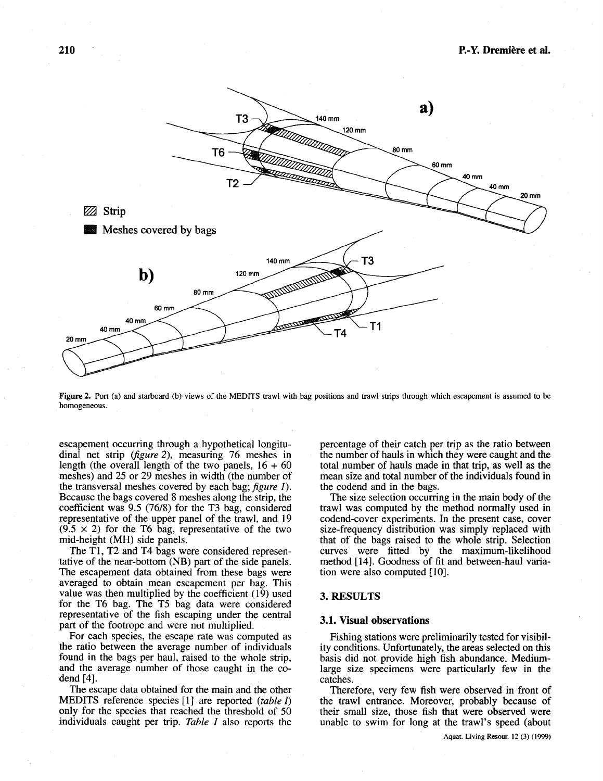

Figure 2. Port (a) and starboard (b) views of the MEDITS trawl with bag positions and trawl strips through which escapement is assumed to he homogeneous.

escapement occurring through a hypothetical longitudinal net strip *(figure* 2), measuring 76 meshes in length (the overall length of the two panels,  $16 + 60$ meshes) and 25 or 29 meshes in width (the number of the transversal meshes covered by each bag; *figure* 1). Because the bags covered 8 meshes along the strip, the coefficient was 9.5 (76/8) for the T3 bag, considered representative of the upper panel of the trawl, and 19  $(9.5 \times 2)$  for the T6 bag, representative of the two mid-height (MH) side panels.

The T1, T2 and T4 bags were considered representative of the near-bottom (NB) part of the side panels. The escapement data obtained from these bags were averaged to obtain mean escapement per bag. This value was then multiplied by the coefficient (19) used for the T6 bag. The T5 bag data were considered representative of the fish escaping under the central part of the footrope and were not multiplied.

For each species, the escape rate was computed as the ratio between the average number of individuals found in the bags per haul, raised to the whole strip, and the average number of those caught in the codend [4].

The escape data obtained for the main and the other MEDITS reference species [1] are reported *(table l)*  only for the species that reached the threshold of 50 individuals caught per trip. *Table* l also reports the percentage of their catch per trip as the ratio between the number of hauls in which they were caught and the total number of hauls made in that trip, as weIl as the mean size and total number of the individuals found in the codend and in the bags.

The size selection occurring in the main body of the trawl was computed by the method normally used in codend-cover experiments. In the present case, coyer size-frequency distribution was simply replaced with that of the bags raised to the whole strip. Selection curves were fitted by the maximum-likelihood method [14]. Goodness of fit and between-haul variation were also computed [10].

#### 3. RESULTS

### 3.1. Visual observations

Fishing stations were preliminarily tested for visibility conditions. Unfortunately, the areas selected on this basis did not provide high fish abundance. Mediumlarge size specimens were particularly few in the catches.

Therefore, very few fish were observed in front of the trawl entrance. Moreover, probably because of their small size, those fish that were observed were unable to swim for long at the trawl's speed (about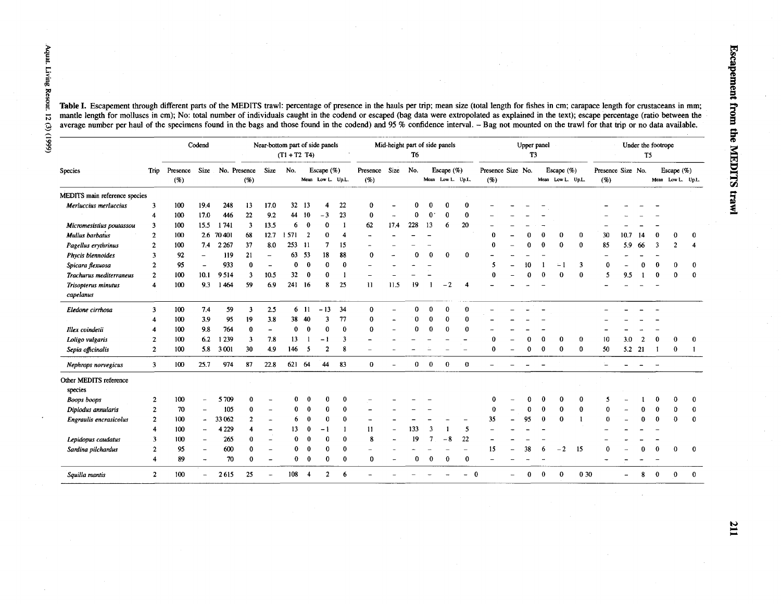*Squil/a mantis* 

2

100

2615

 $\sim$ 

25

 $\ddot{\phantom{1}}$ 

108 4 2

6

 $\overline{\phantom{a}}$ 

Codend Near-bottom part of side panels Mid-height part of side panels Upper panel Under the footrope  $(T1 + T2 T4)$ T6 T3 T5 Species Trip Presence Size No. Presence Size No. Escape (%) Presence Size No. Escape (%) Presence Size No. Escape (%) Presence Size No. Escape (%) (%) (%) **Mean Low L. Up.L.** (%) **Mean Low L. Up.L.**  (%) **Mean Low L. Up.L.**  (%) **Mean Low L. Up.L.**  MEDITS main reference species 17.0 32 13 22 o 0 0 *Merluccius merluccius*   $\overline{\mathbf{3}}$ 100 19.4 248 13 4 o o 100 17.0 446 22 9.2 44 10 -3 23 o o O· 0 o 4 *Micromesistius poutassou*   $\overline{\mathbf{3}}$ 100 15.5 1741  $\overline{\mathbf{3}}$ 13.5 6 0 o  $\blacksquare$ 62 17.4 228 13 6 20 o *Mul/us barbatus* 2 100 2.6 70401 68 12.7 1571 2 o 4 o o o o 30 10.7 14 o o o 100 37 8.0 253 11 7 o o o 85 3 2 *Pagel/us erythrinus* 2 7.4 2267 15  $\overline{a}$ o o 5.9 66 4 92 119 21 63 53 18 88 o 0 0 o *Phycis blennoides*   $\overline{\mathbf{3}}$  $\overline{a}$  $\overline{a}$ o *Spicara flexuosa* 2 95 933 o o 0 o o 10 o o  $\overline{\phantom{a}}$  $\overline{a}$ 5  $\overline{1}$  $-1$  $\overline{\mathbf{3}}$ o o o *Trachurus mediterraneus* 2 100 10.1 9514 3 10.5 32 0 o  $\overline{1}$ o o o o o 5 9.5 o o o *Trisoplerus minutus* 4 100 9.3 1464 59 6.9 241 16 8 25 11  $11.5$  19 1  $-2$ 4 *capelanus*  o 0 0 o *Eledone cirmasa*   $\overline{\mathbf{3}}$ 100 7.4 59 3 2.5 6 11 - 13 34 o L. 4 100 3.9 95 19 3.8 38 40 3 77 o o 0 0 o o 0 0 0 *li/ex coindetii*  4 100 9.8 764 0 o o 0 0 o  $\overline{\phantom{a}}$ 6.2 1239 3 o *Loligo vu/garis*  2 100  $7.8$  13 1 -1 3 o 0 o o 10 3.0 2 0 o o 2 100 5.8 3001 30 4.9 146 5 2 8 o 0 o o 50 5.2 21 o *Sepia officinalis*   $\overline{a}$ o  $\overline{\phantom{a}}$  $\mathbf{1}$  $\mathbf{1}$ o 0 0 *Nephrops norvegicus*   $\overline{\mathbf{3}}$ 100 25.7 974 87 22.8 621 64 44 83 o o  $\overline{a}$  $\sim$  $\overline{\phantom{a}}$  $\overline{a}$  $\equiv$  $\sim$   $\sim$ Other MEDITS reference species o 0 0 o 0 0 0 *Boops boops*  2 100 5709 o o o 5 o o o  $\overline{a}$  $\mathbf{1}$ 105 o 0 0 o 0 0 0 *Diplodus annu/aris*  2 70 o o o o o 0 o o J. *Engraulis encrasicolus*  2 100 33062  $\overline{2}$ 6 0 0 o 35 95 0 0 o o 0 o o  $\mathbf{I}$  $\overline{\phantom{a}}$ 4 100 4229  $13 \t 0 \t -1$ 11 133 1  $\overline{\mathbf{5}}$  $\overline{a}$ 4 ί. 1  $19 \t 7 \t -8 \t 22$ o 0 0 *Lepidopus caudatus*  3 100 265 o o 8 ÷ ÷ *Sardina pilchardus*  2 95 600 o o 0 0 o  $\overline{a}$ 15 38 6 -2 15 o o 0 o o  $\overline{\phantom{a}}$ ., o 0 0 0 4 89 70 o o 0 0 o o  $\sim$  $\overline{\phantom{a}}$ 

- 0

 $\overline{a}$  $\overline{a}$  $\overline{a}$  o 0 o 030

Table I. Escapement through different parts of the MEDITS trawl: percentage of presence in the hauls per trip; mean size (total length for fishes in cm; carapace length for crustaceans in mm; mantle length for molluscs in cm); No: total number of individuals caught in the codend or escaped (bag data were extropolated as explained in the text); escape percentage (ratio between the average number per haul of the specimens found in the bags and those found in the codend) and 95 % confidence interval. - Bag not mounted on the trawl for that trip or no data available.

scapement from **'** 

the i

 $\Xi^-$ 

**IS trawl** 

 $211$ 

o

8

 $\overline{\phantom{0}}$ 

o

o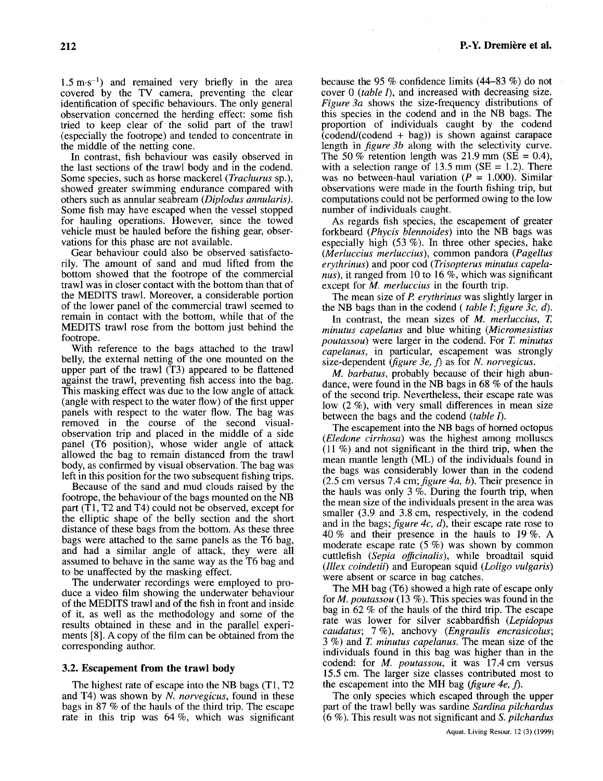$1.5 \text{ m} \cdot \text{s}^{-1}$  and remained very briefly in the area covered by the TV camera, preventing the clear identification of specific behaviours. The only general observation concerned the herding effect: sorne fish tried to keep clear of the solid part of the trawl (especially the footrope) and tended to concentrate in the middle of the netting cone.

In contrast, fish behaviour was easily observed in the last sections of the trawl body and in the codend. Sorne species, such as horse mackerel *(Trachurus* sp.), showed greater swimming endurance compared with others such as annular seabream *(Diplodus annularis).*  Sorne fish may have escaped when the vessel stopped for hauling operations. However, since the towed vehicle must be hauled before the fishing gear, observations for this phase are not available.

Gear behaviour could also be observed satisfactorily. The amount of sand and mud lifted from the bottom showed that the footrope of the commercial trawl was in closer contact with the bottom than that of the MEDITS trawl. Moreover, a considerable portion of the lower panel of the commercial trawl seemed to remain in contact with the bottom, while that of the MEDITS trawl rose from the bottom just behind the footrope.

With reference to the bags attached to the trawl belly, the external netting of the one mounted on the upper part of the trawl (T3) appeared to be flattened against the trawl, preventing fish access into the bag. This masking effect was due to the low angle of attack (angle with respect to the water flow) of the first upper panels with respect to the water flow. The bag was removed in the course of the second visualobservation trip and placed in the middle of a side panel (T6 position), whose wider angle of attack allowed the bag to remain distanced from the trawl body, as confirmed by visual observation. The bag was left in this position for the two subsequent fishing trips.

Because of the sand and mud clouds raised by the footrope, the behaviour of the bags mounted on the NB part  $(T1, T2$  and T4) could not be observed, except for the elliptic shape of the belly section and the short distance of these bags from the bottom. As these three bags were attached to the same panels as the T6 bag, and had a similar angle of attack, they were aIl assumed to behave in the same way as the T6 bag and to be unaffected by the masking effect.

The underwater recordings were employed to produce a video film showing the underwater behaviour of the MEDITS trawl and of the fish in front and inside of it, as weIl as the methodology and sorne of the results obtained in these and in the parallei experiments [8]. A copy of the film can be obtained from the corresponding author.

# 3.2. **Escapement from the trawl body**

The highest rate of escape into the NB bags (T1, T2) and T4) was shown by *N. norvegicus,* found in these bags in 87 % of the hauls of the third trip. The escape rate in this trip was 64 %, which was significant

because the 95 % confidence limits (44-83 %) do not coyer 0 *(table* I), and increased with decreasing size. *Figure 3a* shows the size-frequency distributions of this species in the codend and in the NB bags. The proportion of individuals caught by the codend  $(codend/(codend + bag))$  is shown against carapace length in *figure 3b* along with the selectivity curve. The 50 % retention length was 21.9 mm ( $SE = 0.4$ ), with a selection range of 13.5 mm ( $SE = 1.2$ ). There was no between-haul variation ( $P = 1.000$ ). Similar observations were made in the fourth fishing trip, but computations could not be performed owing to the low number of individuals caught.

As regards fish species, the escapement of greater forkbeard *(Phycis blennoides)* into the NB bags was especially high  $(53 \%)$ . In three other species, hake *(Merluccius merluccius),* common pandora *(Pagellus erythrinus)* and poor cod *(Trisopterus minutus capelanus),* it ranged from 10 to 16 %, which was significant except for *M. merluccius* in the fourth trip.

The mean size of P. *erythrinus* was slightly larger in the NB bags than in the codend ( *table 1; figure 3c,* d).

In contrast, the mean sizes of *M. merluccius, T. minutus capelanus* and blue whiting *(Micromesistius poutassou)* were larger in the codend. For *T. minutus capelanus,* in particular, escapement was strongly size-dependent *(figure 3e,* j) as for *N. norvegicus.* 

*M. barbatus,* probably because of their high abundance, were found in the NB bags in 68 % of the hauls of the second trip. Nevertheless, their escape rate was low (2 %), with very small differences in mean size between the bags and the codend *(table* I).

The escapement into the NB bags of horned octopus *(Eledone cirrhosa)* was the highest among molluscs **(Il** %) and not significant in the third trip, when the mean mantle length (ML) of the individuals found in the bags was considerably lower than in the codend (2.5 cm versus 7.4 cm; *figure 4a, b).* Their presence in the hauls was only 3 %. During the fourth trip, when the mean size of the individuals present in the area was smaller (3.9 and 3.8 cm, respectively, in the codend and in the bags; *figure 4c,* d), their escape rate rose to 40 % and their presence in the hauls to 19 %. A moderate escape rate  $(5 \%)$  was shown by common cuttlefish *(Sepia officinalis),* while broadtail squid *(Illex coindetii)* and European squid *(Loligo vulgaris)*  were absent or scarce in bag catches.

The MH bag (T6) showed a high rate of escape only for *M. poutassou* (13 %). This species was found in the bag in 62 % of the hauls of the third trip. The escape rate was lower for sil ver scabbardfish *(Lepidopus caudatus;* 7 %), anchovy *(Engraulis encrasicolus;*  3 %) and *T. minutus capelanus.* The mean size of the individuals found in this bag was higher than in the codend: for *M. poutassou,* it was 17.4 cm versus 15.5 cm. The larger size classes contributed most to the escapement into the MH bag *(figure 4e,* j).

The only species which escaped through the upper part of the trawl belly was sardine *Sardina pilchardus*  (6 %). This result was not significant and S. *pilchardus*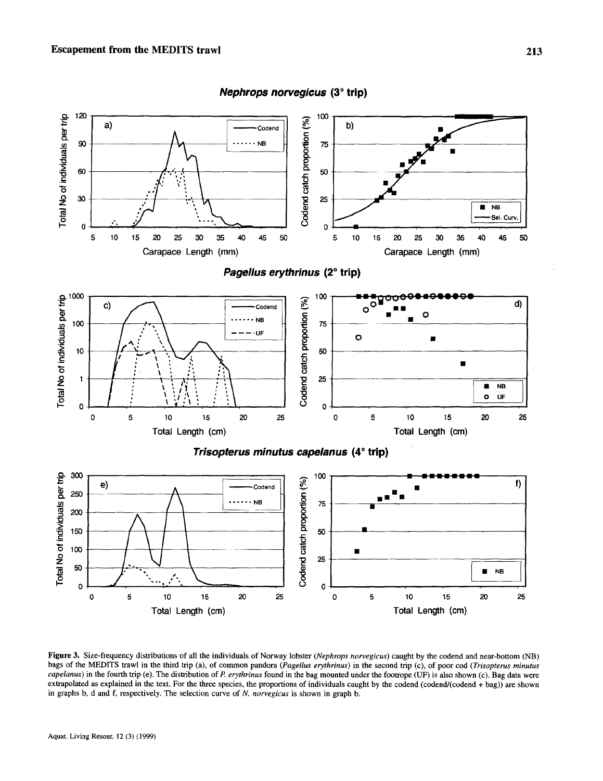

Figure 3. Size-frequency distributions of all the individuals of Norway lobster (Nephrops norvegicus) caught by the codend and near-bottom (NB) bags of the MEDITS trawl in the third trip (a), of common pandora (Pagellus erythrinus) in the second trip (c), of poor cod (Trisopterus minutus capelanus) in the fourth trip (e). The distribution of P. erythrinus found in the bag mounted under the footrope (UF) is also shown (c). Bag data were extrapolated as explained in the text. For the three species, the proportions of individuals caught by the codend (codend/(codend + bag)) are shown in graphs b, d and f, respectively. The selection curve of  $N$ . norvegicus is shown in graph b.

# Nephrops norvegicus (3° trip)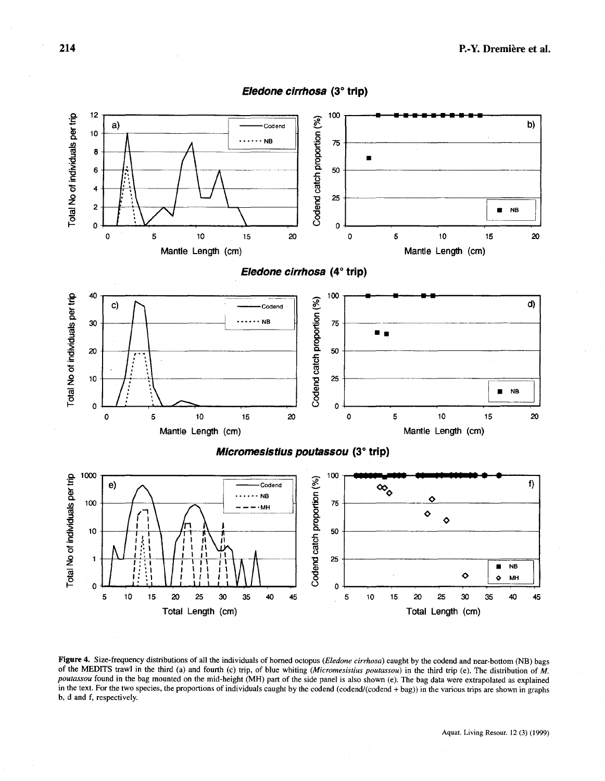

# Eledone cirrhosa (3° trip)

Figure 4. Size-frequency distributions of all the individuals of horned octopus (Eledone cirrhosa) caught by the codend and near-bottom (NB) bags of the MEDITS trawl in the third (a) and fourth (c) trip, of blue whiting (Micromesistius poutassou) in the third trip (e). The distribution of M. poutassou found in the bag mounted on the mid-height (MH) part of the side panel is also shown (e). The bag data were extrapolated as explained in the text. For the two species, the proportions of individuals caught by the codend (codend/(codend + bag)) in the various trips are shown in graphs b, d and f, respectively.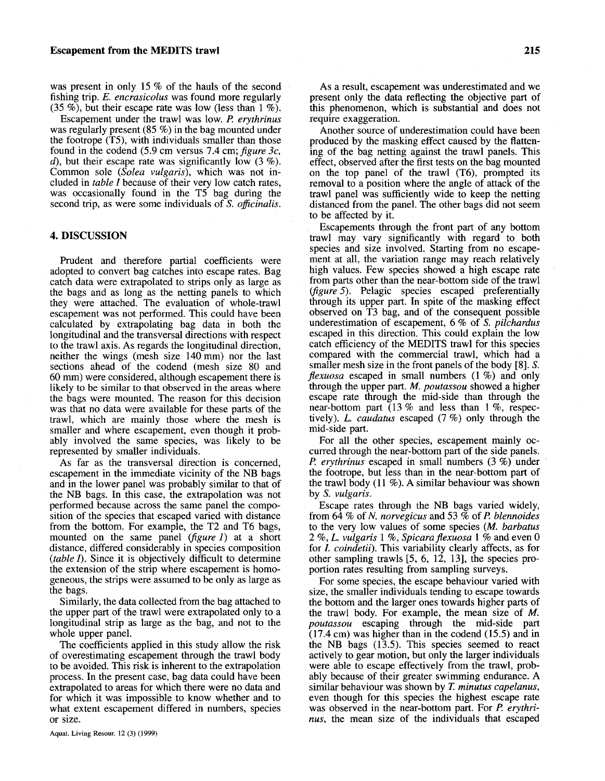was present in only 15 % of the hauls of the second fishing trip. *E. enerasieolus* was found more regularly  $(35\%)$ , but their escape rate was low (less than 1 %).

Escapement under the trawl was low. *P. erythrinus*  was regularly present (85 %) in the bag mounted under the footrope  $(T5)$ , with individuals smaller than those found in the codend (5.9 cm versus 7.4 cm; *figure 3e,*  d), but their escape rate was significantly low  $(3 \%)$ . Common sole *(Solea vulgaris),* whieh was not included in *table 1* because of their very low catch rates, was occasionally found in the  $T5$  bag during the second trip, as were sorne individuals of S. *officinalis.* 

### 4. DISCUSSION

Prudent and therefore partial coefficients were adopted to con vert bag catches into escape rates. Bag catch data were extrapolated to strips only as large as the bags and as long as the netting panels to which they were attached. The evaluation of whole-trawl escapement was not performed. This could have been calculated by extrapolating bag data in both the longitudinal and the transversal directions with respect to the trawl axis. As regards the longitudinal direction, neither the wings (mesh size 140 mm) nor the last sections ahead of the codend (mesh size 80 and 60 mm) were considered, although escapement there is likely to be similar to that observed in the areas where the bags were mounted. The reason for this decision was that no data were available for these parts of the trawl, which are mainly those where the mesh is smaller and where escapement, even though it probably involved the same species, was likely to be represented by smaller individuals.

As far as the transversal direction is concerned, escapement in the immediate vicinity of the NB bags and in the lower panel was probably similar to that of the NB bags. In this case, the extrapolation was not performed because across the same panel the composition of the species that escaped varied with distance from the bottom. For example, the T2 and T6 bags, mounted on the same panel *(figure* 1) at a short distance, differed considerably in species composition *(table* /). Since it is objectively difficult to determine the extension of the strip where escapement is homogeneous, the strips were assumed to be only as large as the bags.

Similarly, the data collected from the bag attached to the upper part of the trawl were extrapolated only to a longitudinal strip as large as the bag, and not to the whole upper panel.

The coefficients applied in this study allow the risk of overestimating escapement through the trawl body to be avoided. This risk is inherent to the extrapolation process. In the present case, bag data could have been extrapolated to areas for which there were no data and for whieh it was impossible to know whether and to what extent escapement differed in numbers, species or size.

As a result, escapement was underestimated and we present only the data reftecting the objective part of this phenomenon, which is substantial and does not require exaggeration.

Another source of underestimation could have been produced by the masking effect caused by the ftattening of the bag netting against the trawl panels. This effect, observed after the first tests on the bag mounted on the top panel of the trawl (T6), prompted its removal to a position where the angle of attack of the trawl panel was sufficiently wide to keep the netting distanced from the panel. The other bags did not seem to be affected by it.

Escapements through the front part of any bottom trawl may vary significantly with regard to both species and size involved. Starting from no escapement at all, the variation range may reach relatively high values. Few species showed a high escape rate from parts other than the near-bottom side of the trawl *(figure* 5). Pelagie species escaped preferentially through its upper part. In spite of the masking effect observed on T3 bag, and of the consequent possible underestimation of escapement, 6 % of S. *pilehardus*  escaped in this direction. This could explain the low catch efficiency of the MEDITS trawl for this species compared with the commercial trawl, which had a smaller mesh size in the front panels of the body [8]. S. *flexuosa* escaped in small numbers (1 %) and only through the upper part. M. *poutassou* showed a higher escape rate through the mid-side than through the near-bottom part (13 % and less than 1 %, respectively). *L. eaudatus* escaped (7 %) only through the mid-side part.

For all the other species, escapement mainly occurred through the near-bottom part of the side panels. *P. erythrinus* escaped in small numbers (3 %) under the footrope, but less than in the near-bottom part of the trawl body (11 %). A similar behaviour was shown by S. *vulgaris.* 

Escape rates through the NB bags varied widely, from 64 % of *N. norvegieus* and 53 % of *P. blennoides*  to the very low values of sorne species *(M. barbatus*  2 %, *L. vulgaris* 1 %, *Spiearaflexuosa* 1 % and even 0 for I. *eoindetii).* This variability clearly affects, as for other sampling trawls [5, 6, 12, 13], the species proportion rates resulting from sampling surveys.

For some species, the escape behaviour varied with size, the smaller individuals tending to escape towards the bottom and the larger ones towards higher parts of the trawl body. For example, the mean size of M. *poutassou* escaping through the mid-side part (17.4 cm) was higher than in the codend (15.5) and in the NB bags (13.5). This species seemed to react actively to gear motion, but only the larger individuals were able to escape effectively from the trawl, probably because of their greater swimming endurance. A similar behaviour was shown by *T. minutus eapelanus,*  even though for this species the highest escape rate was observed in the near-bottom part. For *P. erythrinus,* the mean size of the individuals that escaped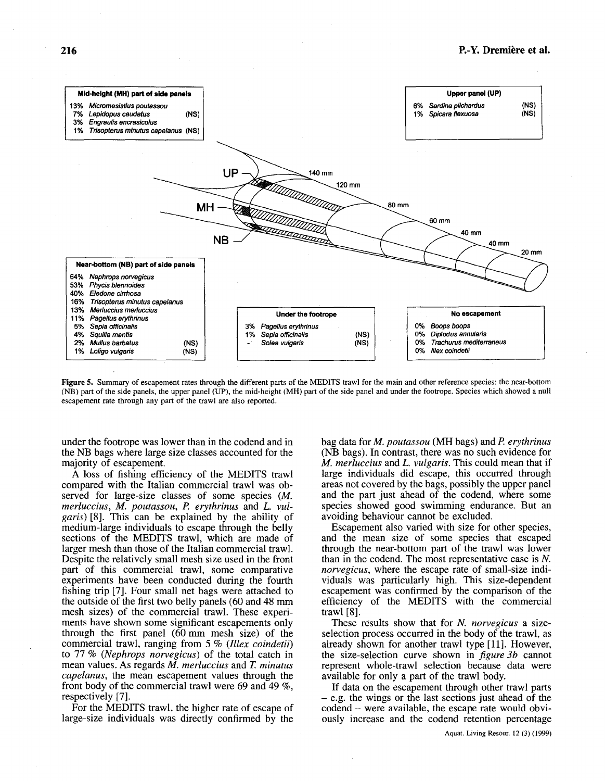

Figure 5. Summary of escapement rates through the different parts of the MEDITS trawl for the main and other reference species: the near-bottom (NB) part of the side panels, the upper panel (UP), the mid-height (MH) part of the side panel and under the footrope. Species which showed a null escapement rate through any part of the trawl are also reported.

under the footrope was lower than in the codend and in the NB bags where large size classes accounted for the majority of escapement.

A loss of tishing efficiency of the MEDITS trawl compared with the Italian commercial trawl was observed for large-size classes of some species (*M*. *merluccius, M. poutassou,* P. *erythrinus* and *L. vulgaris)* [8]. This can be explained by the ability of medium-large individuals to escape through the belly sections of the MEDITS trawl, which are made of larger mesh than those of the Italian commercial trawl. Despite the relatively small mesh size used in the front part of this commercial trawl, sorne comparative experiments have been conducted during the fourth fishing trip [7]. Four small net bags were attached to the outside of the first two belly panels (60 and 48 mm mesh sizes) of the commercial trawl. These experiments have shown some significant escapements only through the first panel  $(60 \text{ mm mesh size})$  of the commercial trawl, ranging from 5 % *(Illex coindetii)*  to 77 % *(Nephrops norvegicus)* of the total catch in mean values. As regards *M. merluccius* and *T. minutus capelanus,* the mean escapement values through the front body of the commercial trawl were 69 and 49 %, respectively [7].

For the MEDITS trawl, the higher rate of escape of large-size individuals was directly confirmed by the bag data for *M. poutassou* (MH bags) and P. *erythrinus*  (NB bags). In contrast, there was no such evidence for *M. merluccius* and *L. vulgaris.* This could mean that if large individuals did escape, this occurred through areas not covered by the bags, possibly the upper panel and the part just ahead of the codend, where some species showed good swimming endurance. But an avoiding behaviour cannot be excluded.

Escapement also varied with size for other species, and the mean size of sorne species that escaped through the near-bottom part of the trawl was lower than in the codend. The most representative case is *N. norvegicus,* where the escape rate of small-size individuals was pariicularly high. This size-dependent escapement was confirmed by the comparison of the efficiency of the MEDITS with the commercial trawl [8].

These results show that for *N. norvegicus* a sizeselection process occurred in the body of the trawl, as already shown for another trawl type [11]. However, the size-selection curve shown in *figure 3b* cannot represent whole-trawl selection because data were available for only a part of the trawl body.

If data on the escapement through other trawl parts - e.g. the wings or the last sections just ahead of the codend - were available, the escape rate would obviously increase and the codend retention percentage